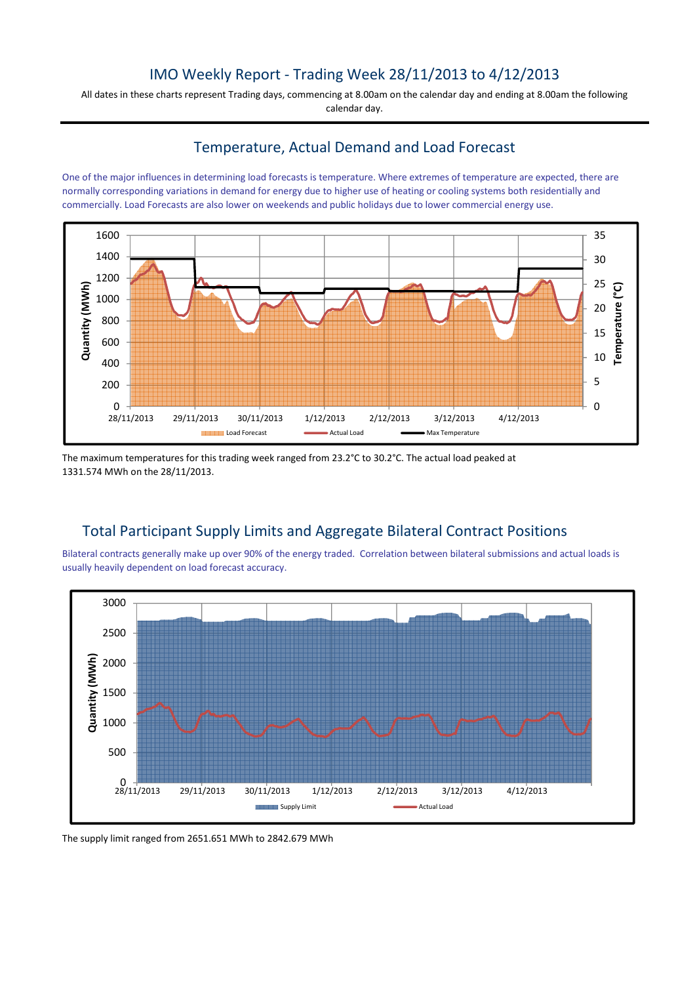## IMO Weekly Report - Trading Week 28/11/2013 to 4/12/2013

All dates in these charts represent Trading days, commencing at 8.00am on the calendar day and ending at 8.00am the following calendar day.

## Temperature, Actual Demand and Load Forecast

One of the major influences in determining load forecasts is temperature. Where extremes of temperature are expected, there are normally corresponding variations in demand for energy due to higher use of heating or cooling systems both residentially and commercially. Load Forecasts are also lower on weekends and public holidays due to lower commercial energy use.



The maximum temperatures for this trading week ranged from 23.2°C to 30.2°C. The actual load peaked at 1331.574 MWh on the 28/11/2013.

## Total Participant Supply Limits and Aggregate Bilateral Contract Positions

Bilateral contracts generally make up over 90% of the energy traded. Correlation between bilateral submissions and actual loads is usually heavily dependent on load forecast accuracy.



The supply limit ranged from 2651.651 MWh to 2842.679 MWh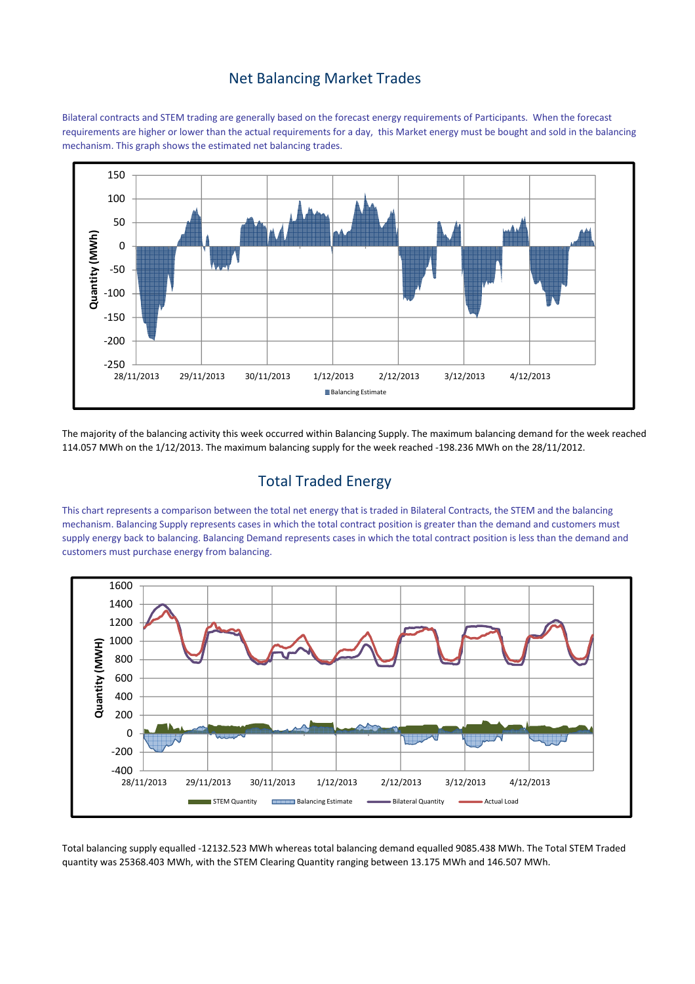## Net Balancing Market Trades

Bilateral contracts and STEM trading are generally based on the forecast energy requirements of Participants. When the forecast requirements are higher or lower than the actual requirements for a day, this Market energy must be bought and sold in the balancing mechanism. This graph shows the estimated net balancing trades.



The majority of the balancing activity this week occurred within Balancing Supply. The maximum balancing demand for the week reached 114.057 MWh on the 1/12/2013. The maximum balancing supply for the week reached -198.236 MWh on the 28/11/2012.

# Total Traded Energy

This chart represents a comparison between the total net energy that is traded in Bilateral Contracts, the STEM and the balancing mechanism. Balancing Supply represents cases in which the total contract position is greater than the demand and customers must supply energy back to balancing. Balancing Demand represents cases in which the total contract position is less than the demand and customers must purchase energy from balancing.



Total balancing supply equalled -12132.523 MWh whereas total balancing demand equalled 9085.438 MWh. The Total STEM Traded quantity was 25368.403 MWh, with the STEM Clearing Quantity ranging between 13.175 MWh and 146.507 MWh.